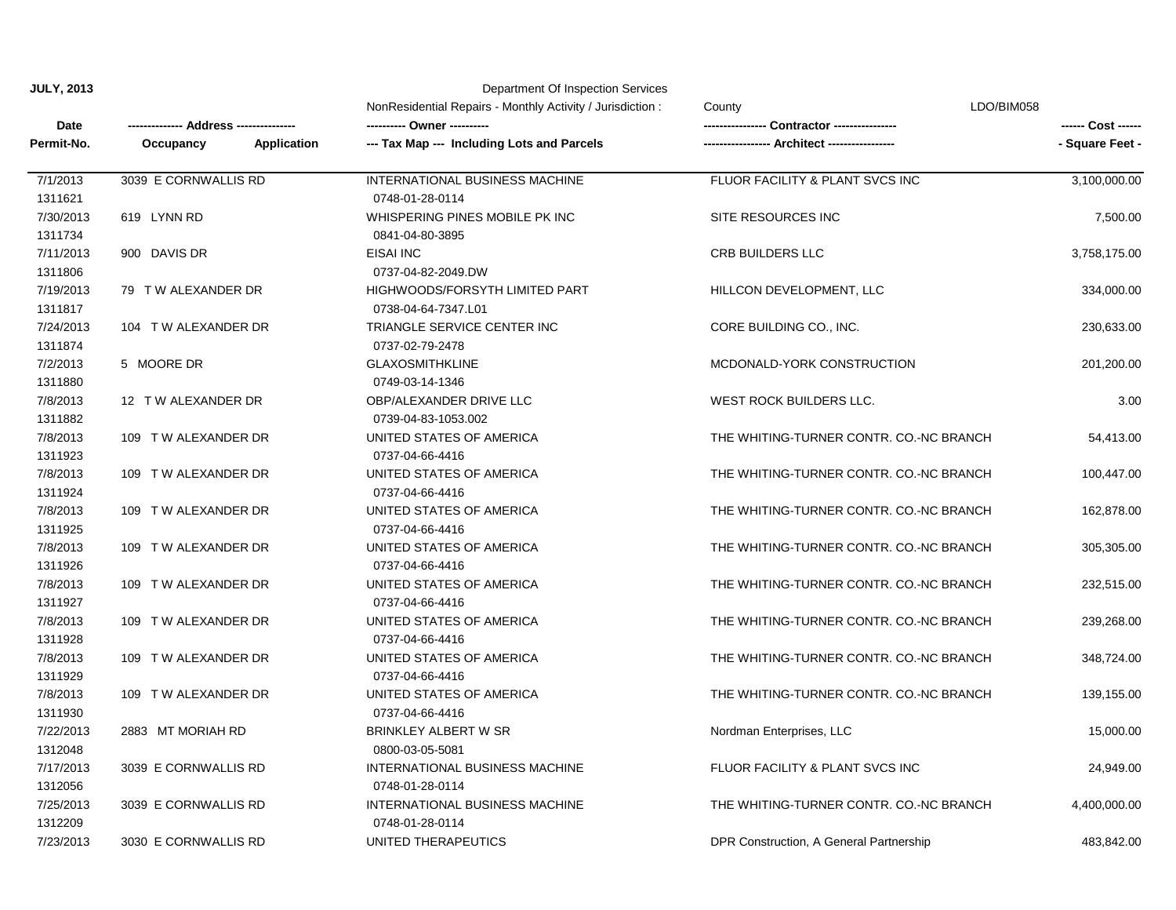**JULY, 2013**

| <b>JULY, 2013</b>    | Department Of Inspection Services |                             |                                                           |                                         |                    |  |  |
|----------------------|-----------------------------------|-----------------------------|-----------------------------------------------------------|-----------------------------------------|--------------------|--|--|
|                      |                                   |                             | NonResidential Repairs - Monthly Activity / Jurisdiction: | LDO/BIM058<br>County                    |                    |  |  |
| Date                 |                                   | ---- Address -------------- |                                                           | <b>Contractor</b> ----------------      | ------ Cost ------ |  |  |
| Permit-No.           | Occupancy                         | Application                 | --- Tax Map --- Including Lots and Parcels                |                                         | - Square Feet -    |  |  |
| 7/1/2013             | 3039 E CORNWALLIS RD              |                             | INTERNATIONAL BUSINESS MACHINE                            | FLUOR FACILITY & PLANT SVCS INC         | 3,100,000.00       |  |  |
| 1311621              |                                   |                             | 0748-01-28-0114                                           |                                         |                    |  |  |
| 7/30/2013            | 619 LYNN RD                       |                             | WHISPERING PINES MOBILE PK INC                            | SITE RESOURCES INC                      | 7,500.00           |  |  |
| 1311734              |                                   |                             | 0841-04-80-3895                                           |                                         |                    |  |  |
| 7/11/2013            | 900 DAVIS DR                      |                             | EISAI INC                                                 | <b>CRB BUILDERS LLC</b>                 | 3,758,175.00       |  |  |
| 1311806              |                                   |                             | 0737-04-82-2049.DW                                        |                                         |                    |  |  |
| 7/19/2013<br>1311817 | 79 T W ALEXANDER DR               |                             | HIGHWOODS/FORSYTH LIMITED PART<br>0738-04-64-7347.L01     | HILLCON DEVELOPMENT, LLC                | 334,000.00         |  |  |
| 7/24/2013<br>1311874 | 104 TW ALEXANDER DR               |                             | TRIANGLE SERVICE CENTER INC<br>0737-02-79-2478            | CORE BUILDING CO., INC.                 | 230,633.00         |  |  |
| 7/2/2013             | 5 MOORE DR                        |                             | <b>GLAXOSMITHKLINE</b>                                    | MCDONALD-YORK CONSTRUCTION              | 201,200.00         |  |  |
| 1311880              |                                   |                             | 0749-03-14-1346                                           |                                         |                    |  |  |
| 7/8/2013             | 12 T W ALEXANDER DR               |                             | OBP/ALEXANDER DRIVE LLC                                   | WEST ROCK BUILDERS LLC.                 | 3.00               |  |  |
| 1311882              |                                   |                             | 0739-04-83-1053.002                                       |                                         |                    |  |  |
| 7/8/2013             | 109 TW ALEXANDER DR               |                             | UNITED STATES OF AMERICA                                  | THE WHITING-TURNER CONTR. CO.-NC BRANCH | 54,413.00          |  |  |
| 1311923              |                                   |                             | 0737-04-66-4416                                           |                                         |                    |  |  |
| 7/8/2013             | 109 TW ALEXANDER DR               |                             | UNITED STATES OF AMERICA                                  | THE WHITING-TURNER CONTR. CO.-NC BRANCH | 100,447.00         |  |  |
| 1311924              |                                   |                             | 0737-04-66-4416                                           |                                         |                    |  |  |
| 7/8/2013             | 109 TW ALEXANDER DR               |                             | UNITED STATES OF AMERICA                                  | THE WHITING-TURNER CONTR. CO.-NC BRANCH | 162,878.00         |  |  |
| 1311925              |                                   |                             | 0737-04-66-4416                                           |                                         |                    |  |  |
| 7/8/2013             | 109 T W ALEXANDER DR              |                             | UNITED STATES OF AMERICA                                  | THE WHITING-TURNER CONTR. CO.-NC BRANCH | 305,305.00         |  |  |
| 1311926              |                                   |                             | 0737-04-66-4416                                           |                                         |                    |  |  |
| 7/8/2013             | 109 TW ALEXANDER DR               |                             | UNITED STATES OF AMERICA                                  | THE WHITING-TURNER CONTR. CO.-NC BRANCH | 232,515.00         |  |  |
| 1311927              |                                   |                             | 0737-04-66-4416                                           |                                         |                    |  |  |
| 7/8/2013             | 109 TW ALEXANDER DR               |                             | UNITED STATES OF AMERICA                                  | THE WHITING-TURNER CONTR. CO.-NC BRANCH | 239,268.00         |  |  |
| 1311928              |                                   |                             | 0737-04-66-4416                                           |                                         |                    |  |  |
| 7/8/2013             | 109 TW ALEXANDER DR               |                             | UNITED STATES OF AMERICA                                  | THE WHITING-TURNER CONTR. CO.-NC BRANCH | 348,724.00         |  |  |
| 1311929              |                                   |                             | 0737-04-66-4416                                           |                                         |                    |  |  |
| 7/8/2013             | 109 TW ALEXANDER DR               |                             | UNITED STATES OF AMERICA                                  | THE WHITING-TURNER CONTR. CO.-NC BRANCH | 139,155.00         |  |  |
| 1311930              |                                   |                             | 0737-04-66-4416                                           |                                         |                    |  |  |
| 7/22/2013            | 2883 MT MORIAH RD                 |                             | <b>BRINKLEY ALBERT W SR</b>                               | Nordman Enterprises, LLC                | 15,000.00          |  |  |
| 1312048              |                                   |                             | 0800-03-05-5081                                           |                                         |                    |  |  |
| 7/17/2013            | 3039 E CORNWALLIS RD              |                             | INTERNATIONAL BUSINESS MACHINE                            | FLUOR FACILITY & PLANT SVCS INC         | 24,949.00          |  |  |
| 1312056              |                                   |                             | 0748-01-28-0114                                           |                                         |                    |  |  |
| 7/25/2013            | 3039 E CORNWALLIS RD              |                             | INTERNATIONAL BUSINESS MACHINE                            | THE WHITING-TURNER CONTR. CO.-NC BRANCH | 4,400,000.00       |  |  |
| 1312209              |                                   |                             | 0748-01-28-0114                                           |                                         |                    |  |  |
| 7/23/2013            | 3030 E CORNWALLIS RD              |                             | UNITED THERAPEUTICS                                       | DPR Construction, A General Partnership | 483,842.00         |  |  |